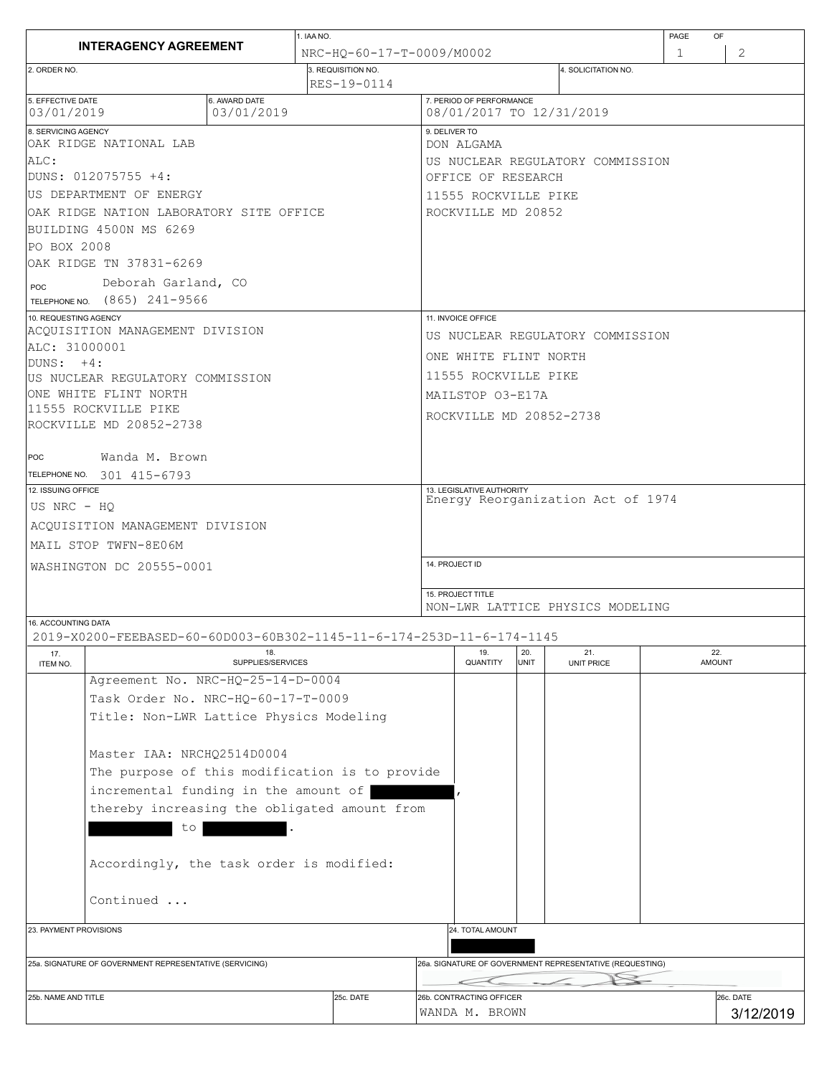| <b>INTERAGENCY AGREEMENT</b>                                                                 |  | 1. IAA NO.                        |                                                      |                                   |                                                          |                    |                          | PAGE             | OF                     |  |  |
|----------------------------------------------------------------------------------------------|--|-----------------------------------|------------------------------------------------------|-----------------------------------|----------------------------------------------------------|--------------------|--------------------------|------------------|------------------------|--|--|
|                                                                                              |  | NRC-HO-60-17-T-0009/M0002         |                                                      |                                   |                                                          |                    |                          | 2<br>$\mathbf 1$ |                        |  |  |
| 2. ORDER NO.                                                                                 |  | 3. REQUISITION NO.<br>RES-19-0114 |                                                      |                                   |                                                          |                    | 4. SOLICITATION NO.      |                  |                        |  |  |
| 5. EFFECTIVE DATE<br>03/01/2019                                                              |  |                                   | 7. PERIOD OF PERFORMANCE<br>08/01/2017 TO 12/31/2019 |                                   |                                                          |                    |                          |                  |                        |  |  |
| 8. SERVICING AGENCY<br>OAK RIDGE NATIONAL LAB                                                |  |                                   |                                                      | 9. DELIVER TO<br>DON ALGAMA       |                                                          |                    |                          |                  |                        |  |  |
| ALC:                                                                                         |  |                                   |                                                      | US NUCLEAR REGULATORY COMMISSION  |                                                          |                    |                          |                  |                        |  |  |
| DUNS: 012075755 +4:                                                                          |  |                                   |                                                      | OFFICE OF RESEARCH                |                                                          |                    |                          |                  |                        |  |  |
| US DEPARTMENT OF ENERGY                                                                      |  |                                   |                                                      | 11555 ROCKVILLE PIKE              |                                                          |                    |                          |                  |                        |  |  |
| OAK RIDGE NATION LABORATORY SITE OFFICE                                                      |  |                                   |                                                      | ROCKVILLE MD 20852                |                                                          |                    |                          |                  |                        |  |  |
| BUILDING 4500N MS 6269                                                                       |  |                                   |                                                      |                                   |                                                          |                    |                          |                  |                        |  |  |
| PO BOX 2008                                                                                  |  |                                   |                                                      |                                   |                                                          |                    |                          |                  |                        |  |  |
| OAK RIDGE TN 37831-6269                                                                      |  |                                   |                                                      |                                   |                                                          |                    |                          |                  |                        |  |  |
| Deborah Garland, CO<br>POC                                                                   |  |                                   |                                                      |                                   |                                                          |                    |                          |                  |                        |  |  |
| TELEPHONE NO. (865) 241-9566                                                                 |  |                                   |                                                      |                                   |                                                          |                    |                          |                  |                        |  |  |
| 10. REQUESTING AGENCY                                                                        |  |                                   |                                                      | 11. INVOICE OFFICE                |                                                          |                    |                          |                  |                        |  |  |
| ACQUISITION MANAGEMENT DIVISION                                                              |  |                                   |                                                      | US NUCLEAR REGULATORY COMMISSION  |                                                          |                    |                          |                  |                        |  |  |
| ALC: 31000001<br>$IDUNS: +4:$                                                                |  |                                   |                                                      |                                   | ONE WHITE FLINT NORTH                                    |                    |                          |                  |                        |  |  |
| US NUCLEAR REGULATORY COMMISSION                                                             |  |                                   |                                                      |                                   | 11555 ROCKVILLE PIKE                                     |                    |                          |                  |                        |  |  |
| ONE WHITE FLINT NORTH                                                                        |  |                                   |                                                      | MAILSTOP 03-E17A                  |                                                          |                    |                          |                  |                        |  |  |
| 11555 ROCKVILLE PIKE                                                                         |  |                                   |                                                      |                                   |                                                          |                    | ROCKVILLE MD 20852-2738  |                  |                        |  |  |
| ROCKVILLE MD 20852-2738                                                                      |  |                                   |                                                      |                                   |                                                          |                    |                          |                  |                        |  |  |
|                                                                                              |  |                                   |                                                      |                                   |                                                          |                    |                          |                  |                        |  |  |
| Wanda M. Brown<br>POC                                                                        |  |                                   |                                                      |                                   |                                                          |                    |                          |                  |                        |  |  |
| TELEPHONE NO. 301 415-6793<br>12. ISSUING OFFICE                                             |  |                                   |                                                      | 13. LEGISLATIVE AUTHORITY         |                                                          |                    |                          |                  |                        |  |  |
| US NRC - HO                                                                                  |  |                                   |                                                      | Energy Reorganization Act of 1974 |                                                          |                    |                          |                  |                        |  |  |
|                                                                                              |  |                                   |                                                      |                                   |                                                          |                    |                          |                  |                        |  |  |
| ACOUISITION MANAGEMENT DIVISION                                                              |  |                                   |                                                      |                                   |                                                          |                    |                          |                  |                        |  |  |
| MAIL STOP TWFN-8E06M                                                                         |  |                                   |                                                      |                                   |                                                          |                    |                          |                  |                        |  |  |
| WASHINGTON DC 20555-0001                                                                     |  |                                   |                                                      | 14. PROJECT ID                    |                                                          |                    |                          |                  |                        |  |  |
|                                                                                              |  |                                   |                                                      | 15. PROJECT TITLE                 |                                                          |                    |                          |                  |                        |  |  |
|                                                                                              |  |                                   | NON-LWR LATTICE PHYSICS MODELING                     |                                   |                                                          |                    |                          |                  |                        |  |  |
| 16. ACCOUNTING DATA<br>2019-X0200-FEEBASED-60-60D003-60B302-1145-11-6-174-253D-11-6-174-1145 |  |                                   |                                                      |                                   |                                                          |                    |                          |                  |                        |  |  |
| 18.<br>17.<br>SUPPLIES/SERVICES<br>ITEM NO.                                                  |  |                                   |                                                      |                                   | 19.<br>QUANTITY                                          | 20.<br><b>UNIT</b> | 21.<br><b>UNIT PRICE</b> |                  | 22.<br><b>AMOUNT</b>   |  |  |
| Agreement No. NRC-HQ-25-14-D-0004                                                            |  |                                   |                                                      |                                   |                                                          |                    |                          |                  |                        |  |  |
| Task Order No. NRC-HQ-60-17-T-0009                                                           |  |                                   |                                                      |                                   |                                                          |                    |                          |                  |                        |  |  |
| Title: Non-LWR Lattice Physics Modeling                                                      |  |                                   |                                                      |                                   |                                                          |                    |                          |                  |                        |  |  |
| Master IAA: NRCHQ2514D0004                                                                   |  |                                   |                                                      |                                   |                                                          |                    |                          |                  |                        |  |  |
| The purpose of this modification is to provide                                               |  |                                   |                                                      |                                   |                                                          |                    |                          |                  |                        |  |  |
| incremental funding in the amount of                                                         |  |                                   |                                                      |                                   |                                                          |                    |                          |                  |                        |  |  |
| thereby increasing the obligated amount from                                                 |  |                                   |                                                      |                                   |                                                          |                    |                          |                  |                        |  |  |
| to                                                                                           |  |                                   |                                                      |                                   |                                                          |                    |                          |                  |                        |  |  |
|                                                                                              |  |                                   |                                                      |                                   |                                                          |                    |                          |                  |                        |  |  |
| Accordingly, the task order is modified:                                                     |  |                                   |                                                      |                                   |                                                          |                    |                          |                  |                        |  |  |
|                                                                                              |  |                                   |                                                      |                                   |                                                          |                    |                          |                  |                        |  |  |
| Continued                                                                                    |  |                                   |                                                      |                                   |                                                          |                    |                          |                  |                        |  |  |
|                                                                                              |  |                                   |                                                      |                                   |                                                          |                    |                          |                  |                        |  |  |
| 23. PAYMENT PROVISIONS                                                                       |  |                                   |                                                      |                                   | 24. TOTAL AMOUNT                                         |                    |                          |                  |                        |  |  |
|                                                                                              |  |                                   |                                                      |                                   |                                                          |                    |                          |                  |                        |  |  |
| 25a. SIGNATURE OF GOVERNMENT REPRESENTATIVE (SERVICING)                                      |  |                                   |                                                      |                                   | 26a. SIGNATURE OF GOVERNMENT REPRESENTATIVE (REQUESTING) |                    |                          |                  |                        |  |  |
|                                                                                              |  |                                   |                                                      | 26b. CONTRACTING OFFICER          |                                                          |                    |                          |                  |                        |  |  |
| 25b. NAME AND TITLE                                                                          |  | 25c. DATE                         |                                                      |                                   | WANDA M. BROWN                                           |                    |                          |                  | 26c. DATE<br>3/12/2019 |  |  |